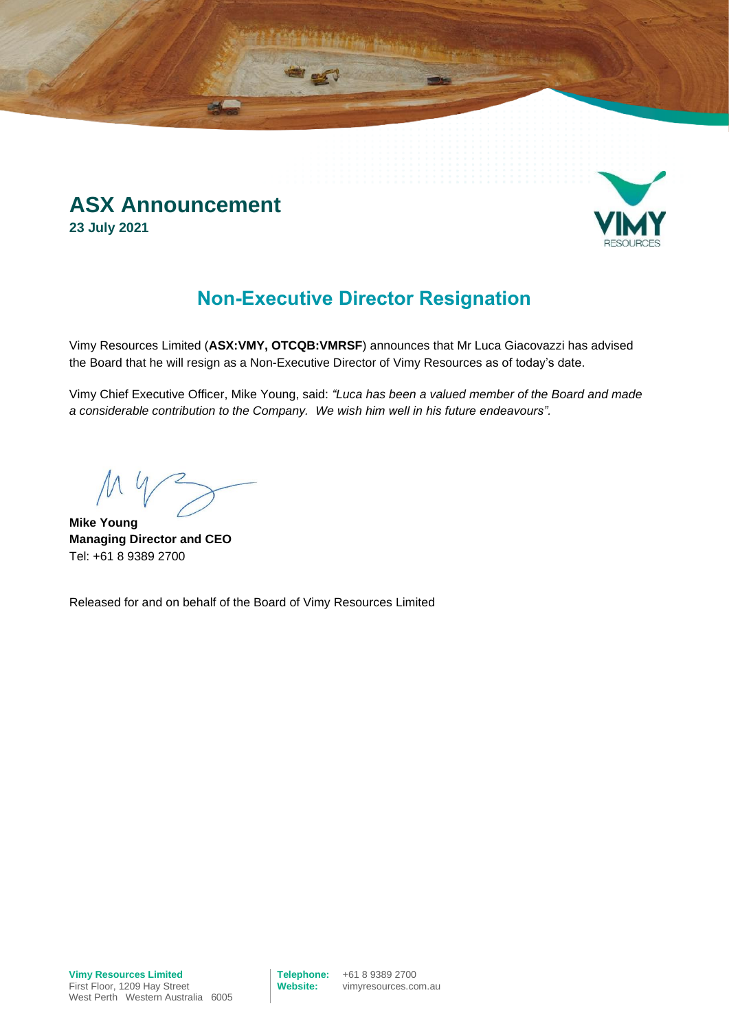### **ASX Announcement 23 July 2021**



### **Non-Executive Director Resignation**

Vimy Resources Limited (**ASX:VMY, OTCQB:VMRSF**) announces that Mr Luca Giacovazzi has advised the Board that he will resign as a Non-Executive Director of Vimy Resources as of today's date.

Vimy Chief Executive Officer, Mike Young, said: *"Luca has been a valued member of the Board and made a considerable contribution to the Company. We wish him well in his future endeavours".*

**Mike Young Managing Director and CEO** Tel: +61 8 9389 2700

Released for and on behalf of the Board of Vimy Resources Limited